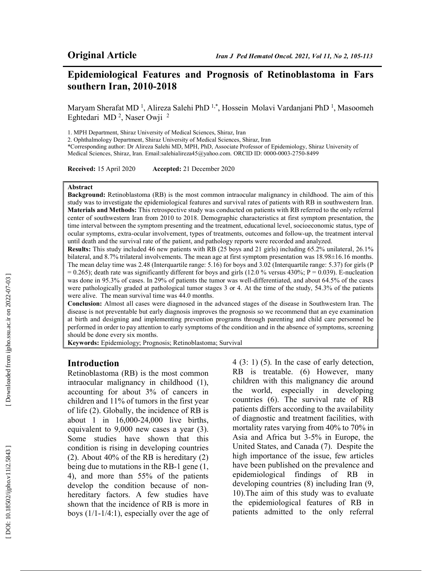## Epidemiological Features and Prognosis of Retinoblastoma in Fars southern Iran, 2010-2018

Maryam Sherafat MD<sup>1</sup>, Alireza Salehi PhD<sup>1,\*</sup>, Hossein Molavi Vardanjani PhD<sup>1</sup>, Masoomeh Eghtedari MD<sup>2</sup>, Naser Owji<sup>2</sup>

1. MPH Department, Shiraz University of Medical Sciences, Shiraz, Iran

2. Ophthalmology Department, Shiraz University of Medical Sciences, Shiraz, Iran

\*Corresponding author: Dr Alireza Salehi MD, MPH, PhD, Associate Professor of Epidemiology, Shiraz University of Medical Sciences, Shiraz, Iran. Email:salehialireza45@yahoo.com. ORCID ID: 0000-0003-2750-8499

Received: 15 April 2020 Accepted: 21 December 2020

#### Abstract

Background: Retinoblastoma (RB) is the most common intraocular malignancy in childhood. The aim of this study was to investigate the epidemiological features and survival rates of patients with RB in southwestern Iran. Materials and Methods: This retrospective study was conducted on patients with RB referred to the only referral center of southwestern Iran from 2010 to 2018. Demographic characteristics at first symptom presentation, the time interval between the symptom presenting and the treatment, educational level, socioeconomic status, type of ocular symptoms, extra-ocular involvement, types of treatments, outcomes and follow-up, the treatment interval until death and the survival rate of the patient, and pathology reports were recorded and analyzed.

Results: This study included 46 new patients with RB (25 boys and 21 girls) including 65.2% unilateral, 26.1% bilateral, and 8.7% trilateral involvements. The mean age at first symptom presentation was 18.98±16.16 months. The mean delay time was 2.48 (Interquartile range: 5.16) for boys and 3.02 (Interquartile range: 5.37) for girls (P  $= 0.265$ ); death rate was significantly different for boys and girls (12.0 % versus 430%; P = 0.039). E-nucleation was done in 95.3% of cases. In 29% of patients the tumor was well-differentiated, and about 64.5% of the cases were pathologically graded at pathological tumor stages 3 or 4. At the time of the study, 54.3% of the patients were alive. The mean survival time was 44.0 months.

Conclusion: Almost all cases were diagnosed in the advanced stages of the disease in Southwestern Iran. The disease is not preventable but early diagnosis improves the prognosis so we recommend that an eye examination at birth and designing and implementing prevention programs through parenting and child care personnel be performed in order to pay attention to early symptoms of the condition and in the absence of symptoms, screening should be done every six months.

Keywords: Epidemiology; Prognosis; Retinoblastoma; Survival

### Introduction

Retinoblastoma (RB) is the most common intraocular malignancy in childhood (1), accounting for about 3% of cancers in children and 11% of tumors in the first year of life (2). Globally, the incidence of RB is about 1 in 16,000-24,000 live births, equivalent to 9,000 new cases a year (3). Some studies have shown that this condition is rising in developing countries (2). About 40% of the RB is hereditary (2) being due to mutations in the RB-1 gene (1, 4), and more than 55% of the patients develop the condition because of nonhereditary factors. A few studies have shown that the incidence of RB is more in boys (1/1-1/4:1), especially over the age of 4 (3: 1) (5). In the case of early detection, RB is treatable. (6) However, many children with this malignancy die around the world, especially in developing countries (6). The survival rate of RB patients differs according to the availability of diagnostic and treatment facilities, with mortality rates varying from 40% to 70% in Asia and Africa but 3-5% in Europe, the United States, and Canada (7). Despite the high importance of the issue, few articles have been published on the prevalence and epidemiological findings of RB in developing countries (8) including Iran (9, 10).The aim of this study was to evaluate the epidemiological features of RB in patients admitted to the only referral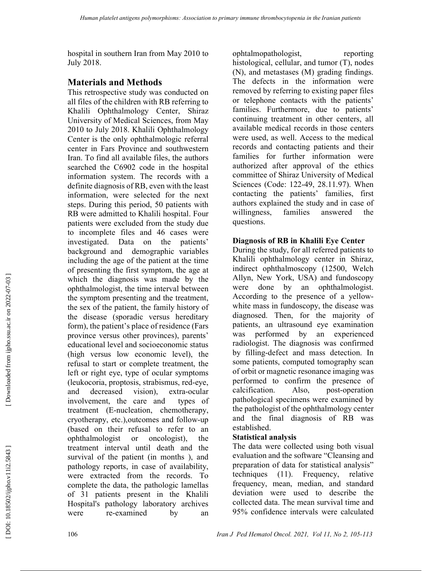hospital in southern Iran from May 2010 to July 2018.

## Materials and Methods

This retrospective study was conducted on all files of the children with RB referring to Khalili Ophthalmology Center, Shiraz University of Medical Sciences, from May 2010 to July 2018. Khalili Ophthalmology Center is the only ophthalmologic referral center in Fars Province and southwestern Iran. To find all available files, the authors searched the C6902 code in the hospital information system. The records with a definite diagnosis of RB, even with the least information, were selected for the next steps. During this period, 50 patients with RB were admitted to Khalili hospital. Four patients were excluded from the study due to incomplete files and 46 cases were investigated. Data on the patients' background and demographic variables including the age of the patient at the time of presenting the first symptom, the age at which the diagnosis was made by the ophthalmologist, the time interval between the symptom presenting and the treatment, the sex of the patient, the family history of the disease (sporadic versus hereditary form), the patient's place of residence (Fars province versus other provinces), parents' educational level and socioeconomic status (high versus low economic level), the refusal to start or complete treatment, the left or right eye, type of ocular symptoms (leukocoria, proptosis, strabismus, red-eye, and decreased vision), extra-ocular involvement, the care and types of treatment (E-nucleation, chemotherapy, cryotherapy, etc.),outcomes and follow-up (based on their refusal to refer to an ophthalmologist or oncologist), the treatment interval until death and the survival of the patient (in months ), and pathology reports, in case of availability, were extracted from the records. To complete the data, the pathologic lamellas of 31 patients present in the Khalili Hospital's pathology laboratory archives were re-examined by an

ophtalmopathologist, reporting histological, cellular, and tumor (T), nodes (N), and metastases (M) grading findings. The defects in the information were removed by referring to existing paper files or telephone contacts with the patients' families. Furthermore, due to patients' continuing treatment in other centers, all available medical records in those centers were used, as well. Access to the medical records and contacting patients and their families for further information were authorized after approval of the ethics committee of Shiraz University of Medical Sciences (Code: 122-49, 28.11.97). When contacting the patients' families, first authors explained the study and in case of willingness, families answered the questions.

### Diagnosis of RB in Khalili Eye Center

During the study, for all referred patients to Khalili ophthalmology center in Shiraz, indirect ophthalmoscopy (12500, Welch Allyn, New York, USA) and fundoscopy were done by an ophthalmologist. According to the presence of a yellowwhite mass in fundoscopy, the disease was diagnosed. Then, for the majority of patients, an ultrasound eye examination was performed by an experienced radiologist. The diagnosis was confirmed by filling-defect and mass detection. In some patients, computed tomography scan of orbit or magnetic resonance imaging was performed to confirm the presence of calcification. Also, post-operation pathological specimens were examined by the pathologist of the ophthalmology center and the final diagnosis of RB was established.

### Statistical analysis

The data were collected using both visual evaluation and the software "Cleansing and preparation of data for statistical analysis" techniques (11). Frequency, relative frequency, mean, median, and standard deviation were used to describe the collected data. The mean survival time and 95% confidence intervals were calculated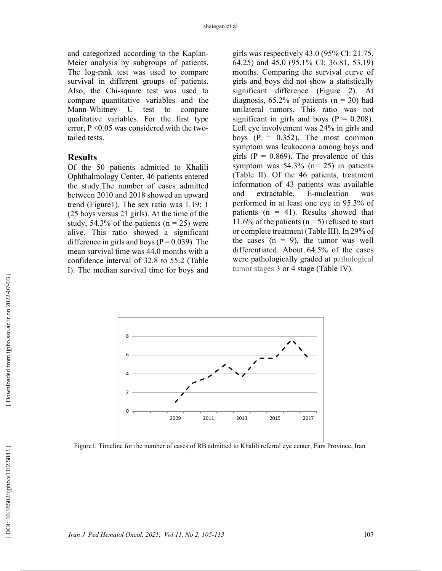and categorized according to the Kaplan-Meier analysis by subgroups of patients. The log-rank test was used to compare survival in different groups of patients. Also, the Chi-square test was used to compare quantitative variables and the Mann-Whitney U test to compare qualitative variables. For the first type error,  $P \le 0.05$  was considered with the twotailed tests.

#### Results

Of the 50 patients admitted to Khalili Ophthalmology Center, 46 patients entered the study.The number of cases admitted between 2010 and 2018 showed an upward trend (Figure1). The sex ratio was 1.19: 1 (25 boys versus 21 girls). At the time of the study, 54.3% of the patients ( $n = 25$ ) were alive. This ratio showed a significant difference in girls and boys ( $P = 0.039$ ). The mean survival time was 44.0 months with a confidence interval of 32.8 to 55.2 (Table I). The median survival time for boys and

girls was respectively 43.0 (95% CI: 21.75, 64.25) and 45.0 (95.1% CI: 36.81, 53.19) months. Comparing the survival curve of girls and boys did not show a statistically significant difference (Figure 2). At diagnosis,  $65.2\%$  of patients ( $n = 30$ ) had unilateral tumors. This ratio was not significant in girls and boys ( $P = 0.208$ ). Left eye involvement was 24% in girls and boys  $(P = 0.352)$ . The most common symptom was leukocoria among boys and girls ( $P = 0.869$ ). The prevalence of this symptom was  $54.3\%$  (n= 25) in patients (Table II). Of the 46 patients, treatment information of 43 patients was available and extractable. E-nucleation was performed in at least one eye in 95.3% of patients ( $n = 41$ ). Results showed that 11.6% of the patients ( $n = 5$ ) refused to start or complete treatment (Table III). In 29% of the cases  $(n = 9)$ , the tumor was well differentiated. About 64.5% of the cases were pathologically graded at pathological tumor stages 3 or 4 stage (Table IV).

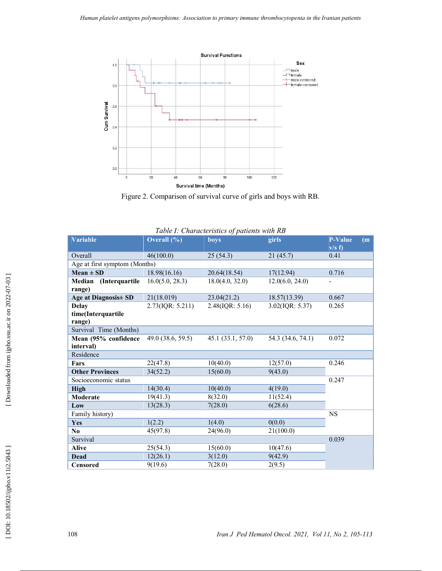

Figure 2. Comparison of survival curve of girls and boys with RB.

| Table I: Characteristics of patients with RB |                  |                    |                    |                |                           |  |
|----------------------------------------------|------------------|--------------------|--------------------|----------------|---------------------------|--|
| <b>Variable</b>                              | Overall $(\% )$  | boys               | girls              | <b>P-Value</b> | $\overline{(\mathbf{m})}$ |  |
|                                              |                  |                    |                    | v/s f          |                           |  |
| Overall                                      | 46(100.0)        | 25(54.3)           | 21 (45.7)          | 0.41           |                           |  |
| Age at first symptom (Months)                |                  |                    |                    |                |                           |  |
| $Mean \pm SD$                                | 18.98(16.16)     | 20.64(18.54)       | 17(12.94)          | 0.716          |                           |  |
| Median (Interquartile                        | 16.0(5.0, 28.3)  | 18.0(4.0, 32.0)    | 12.0(6.0, 24.0)    |                |                           |  |
| range)                                       |                  |                    |                    |                |                           |  |
| Age at Diagnosis ± SD                        | 21(18.019)       | 23.04(21.2)        | 18.57(13.39)       | 0.667          |                           |  |
| <b>Delay</b>                                 | 2.73(IQR: 5.211) | $2.48$ (IQR: 5.16) | $3.02$ (IQR: 5.37) | 0.265          |                           |  |
| time(Interquartile                           |                  |                    |                    |                |                           |  |
| range)                                       |                  |                    |                    |                |                           |  |
| Survival Time (Months)                       |                  |                    |                    |                |                           |  |
| Mean (95% confidence                         | 49.0(38.6, 59.5) | 45.1(33.1, 57.0)   | 54.3 (34.6, 74.1)  | 0.072          |                           |  |
| interval)                                    |                  |                    |                    |                |                           |  |
| Residence                                    |                  |                    |                    |                |                           |  |
| Fars                                         | 22(47.8)         | 10(40.0)           | 12(57.0)           | 0.246          |                           |  |
| <b>Other Provinces</b>                       | 34(52.2)         | 15(60.0)           | 9(43.0)            |                |                           |  |
| Socioeconomic status                         |                  |                    |                    | 0.247          |                           |  |
| <b>High</b>                                  | 14(30.4)         | 10(40.0)           | 4(19.0)            |                |                           |  |
| Moderate                                     | 19(41.3)         | 8(32.0)            | 11(52.4)           |                |                           |  |
| Low                                          | 13(28.3)         | 7(28.0)            | 6(28.6)            |                |                           |  |
| Family history)                              |                  |                    |                    | <b>NS</b>      |                           |  |
| Yes                                          | 1(2.2)           | 1(4.0)             | 0(0.0)             |                |                           |  |
| $\bf No$                                     | 45(97.8)         | 24(96.0)           | 21(100.0)          |                |                           |  |
| Survival                                     |                  |                    |                    | 0.039          |                           |  |
| <b>Alive</b>                                 | 25(54.3)         | 15(60.0)           | 10(47.6)           |                |                           |  |
| <b>Dead</b>                                  | 12(26.1)         | 3(12.0)            | 9(42.9)            |                |                           |  |
| <b>Censored</b>                              | 9(19.6)          | 7(28.0)            | 2(9.5)             |                |                           |  |

| Downloaded from ijpho.ssu.ac.ir on 2022-07-03 |  |
|-----------------------------------------------|--|
|                                               |  |
|                                               |  |
|                                               |  |
|                                               |  |
|                                               |  |
|                                               |  |
|                                               |  |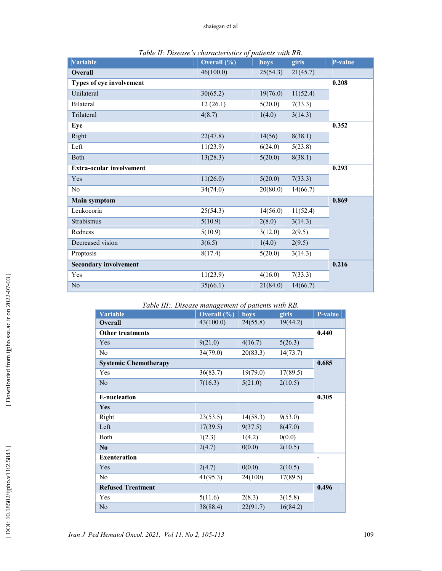| <b>Variable</b>                 | Overall $(\% )$ | boys     | girls    | P-value |
|---------------------------------|-----------------|----------|----------|---------|
| <b>Overall</b>                  | 46(100.0)       | 25(54.3) | 21(45.7) |         |
| Types of eye involvement        |                 |          |          | 0.208   |
| Unilateral                      | 30(65.2)        | 19(76.0) | 11(52.4) |         |
| Bilateral                       | 12(26.1)        | 5(20.0)  | 7(33.3)  |         |
| Trilateral                      | 4(8.7)          | 1(4.0)   | 3(14.3)  |         |
| Eye                             |                 |          |          | 0.352   |
| Right                           | 22(47.8)        | 14(56)   | 8(38.1)  |         |
| Left                            | 11(23.9)        | 6(24.0)  | 5(23.8)  |         |
| <b>Both</b>                     | 13(28.3)        | 5(20.0)  | 8(38.1)  |         |
| <b>Extra-ocular involvement</b> |                 |          |          | 0.293   |
| Yes                             | 11(26.0)        | 5(20.0)  | 7(33.3)  |         |
| No                              | 34(74.0)        | 20(80.0) | 14(66.7) |         |
| <b>Main symptom</b>             |                 |          |          | 0.869   |
| Leukocoria                      | 25(54.3)        | 14(56.0) | 11(52.4) |         |
| Strabismus                      | 5(10.9)         | 2(8.0)   | 3(14.3)  |         |
| Redness                         | 5(10.9)         | 3(12.0)  | 2(9.5)   |         |
| Decreased vision                | 3(6.5)          | 1(4.0)   | 2(9.5)   |         |
| Proptosis                       | 8(17.4)         | 5(20.0)  | 3(14.3)  |         |
| <b>Secondary involvement</b>    |                 |          |          | 0.216   |
| Yes                             | 11(23.9)        | 4(16.0)  | 7(33.3)  |         |
| N <sub>o</sub>                  | 35(66.1)        | 21(84.0) | 14(66.7) |         |

|  |  |  | Table II: Disease's characteristics of patients with RB. |
|--|--|--|----------------------------------------------------------|
|--|--|--|----------------------------------------------------------|

| Table III:. Disease management of patients with RB. |  |
|-----------------------------------------------------|--|
|-----------------------------------------------------|--|

| raole m Disease management of patients while red.<br><b>Variable</b> | Overall $(\% )$ | boys     | girls    | P-value |
|----------------------------------------------------------------------|-----------------|----------|----------|---------|
| <b>Overall</b>                                                       | 43(100.0)       | 24(55.8) | 19(44.2) |         |
| <b>Other treatments</b>                                              |                 |          |          | 0.440   |
| Yes                                                                  | 9(21.0)         | 4(16.7)  | 5(26.3)  |         |
| No                                                                   | 34(79.0)        | 20(83.3) | 14(73.7) |         |
| <b>Systemic Chemotherapy</b>                                         |                 |          |          | 0.685   |
| Yes                                                                  | 36(83.7)        | 19(79.0) | 17(89.5) |         |
| No                                                                   | 7(16.3)         | 5(21.0)  | 2(10.5)  |         |
| <b>E-nucleation</b>                                                  |                 |          |          | 0.305   |
| Yes                                                                  |                 |          |          |         |
| Right                                                                | 23(53.5)        | 14(58.3) | 9(53.0)  |         |
| Left                                                                 | 17(39.5)        | 9(37.5)  | 8(47.0)  |         |
| Both                                                                 | 1(2.3)          | 1(4.2)   | 0(0.0)   |         |
| N <sub>0</sub>                                                       | 2(4.7)          | 0(0.0)   | 2(10.5)  |         |
| <b>Exenteration</b>                                                  |                 |          |          |         |
| Yes                                                                  | 2(4.7)          | 0(0.0)   | 2(10.5)  |         |
| N <sub>o</sub>                                                       | 41(95.3)        | 24(100)  | 17(89.5) |         |
| <b>Refused Treatment</b>                                             |                 |          |          | 0.496   |
| Yes                                                                  | 5(11.6)         | 2(8.3)   | 3(15.8)  |         |
| No                                                                   | 38(88.4)        | 22(91.7) | 16(84.2) |         |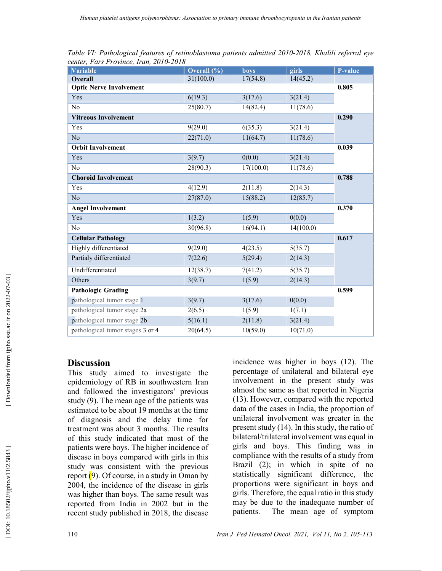| <b>Variable</b>                  | Overall $(\% )$ | boys      | girls     | P-value |
|----------------------------------|-----------------|-----------|-----------|---------|
| <b>Overall</b>                   | 31(100.0)       | 17(54.8)  | 14(45.2)  |         |
| <b>Optic Nerve Involvement</b>   |                 |           |           | 0.805   |
| Yes                              | 6(19.3)         | 3(17.6)   | 3(21.4)   |         |
| No                               | 25(80.7)        | 14(82.4)  | 11(78.6)  |         |
| <b>Vitreous Involvement</b>      |                 |           |           | 0.290   |
| Yes                              | 9(29.0)         | 6(35.3)   | 3(21.4)   |         |
| N <sub>o</sub>                   | 22(71.0)        | 11(64.7)  | 11(78.6)  |         |
| <b>Orbit Involvement</b>         |                 |           |           | 0.039   |
| Yes                              | 3(9.7)          | 0(0.0)    | 3(21.4)   |         |
| N <sub>o</sub>                   | 28(90.3)        | 17(100.0) | 11(78.6)  |         |
| <b>Choroid Involvement</b>       |                 |           |           | 0.788   |
| Yes                              | 4(12.9)         | 2(11.8)   | 2(14.3)   |         |
| N <sub>o</sub>                   | 27(87.0)        | 15(88.2)  | 12(85.7)  |         |
| <b>Angel Involvement</b>         |                 |           |           | 0.370   |
| Yes                              | 1(3.2)          | 1(5.9)    | 0(0.0)    |         |
| N <sub>o</sub>                   | 30(96.8)        | 16(94.1)  | 14(100.0) |         |
| <b>Cellular Pathology</b>        |                 |           |           | 0.617   |
| Highly differentiated            | 9(29.0)         | 4(23.5)   | 5(35.7)   |         |
| Partialy differentiated          | 7(22.6)         | 5(29.4)   | 2(14.3)   |         |
| Undifferentiated                 | 12(38.7)        | 7(41.2)   | 5(35.7)   |         |
| Others                           | 3(9.7)          | 1(5.9)    | 2(14.3)   |         |
| <b>Pathologic Grading</b>        |                 |           |           | 0.599   |
| pathological tumor stage 1       | 3(9.7)          | 3(17.6)   | 0(0.0)    |         |
| pathological tumor stage 2a      | 2(6.5)          | 1(5.9)    | 1(7.1)    |         |
| pathological tumor stage 2b      | 5(16.1)         | 2(11.8)   | 3(21.4)   |         |
| pathological tumor stages 3 or 4 | 20(64.5)        | 10(59.0)  | 10(71.0)  |         |

Table VI: Pathological features of retinoblastoma patients admitted 2010-2018, Khalili referral eye center, Fars Province, Iran, 2010-2018

### **Discussion**

This study aimed to investigate the epidemiology of RB in southwestern Iran and followed the investigators' previous study (9). The mean age of the patients was estimated to be about 19 months at the time of diagnosis and the delay time for treatment was about 3 months. The results of this study indicated that most of the patients were boys. The higher incidence of disease in boys compared with girls in this study was consistent with the previous report  $(9)$ . Of course, in a study in Oman by 2004, the incidence of the disease in girls was higher than boys. The same result was reported from India in 2002 but in the recent study published in 2018, the disease

incidence was higher in boys (12). The percentage of unilateral and bilateral eye involvement in the present study was almost the same as that reported in Nigeria (13). However, compared with the reported data of the cases in India, the proportion of unilateral involvement was greater in the present study (14). In this study, the ratio of bilateral/trilateral involvement was equal in girls and boys. This finding was in compliance with the results of a study from Brazil (2); in which in spite of no statistically significant difference, the proportions were significant in boys and girls. Therefore, the equal ratio in this study may be due to the inadequate number of patients. The mean age of symptom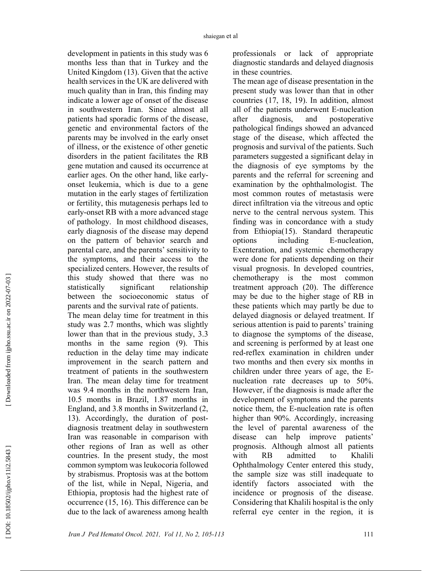development in patients in this study was 6 months less than that in Turkey and the United Kingdom (13). Given that the active health services in the UK are delivered with much quality than in Iran, this finding may indicate a lower age of onset of the disease in southwestern Iran. Since almost all patients had sporadic forms of the disease, genetic and environmental factors of the parents may be involved in the early onset of illness, or the existence of other genetic disorders in the patient facilitates the RB gene mutation and caused its occurrence at earlier ages. On the other hand, like earlyonset leukemia, which is due to a gene mutation in the early stages of fertilization or fertility, this mutagenesis perhaps led to early-onset RB with a more advanced stage of pathology. In most childhood diseases, early diagnosis of the disease may depend on the pattern of behavior search and parental care, and the parents' sensitivity to the symptoms, and their access to the specialized centers. However, the results of this study showed that there was no statistically significant relationship between the socioeconomic status of parents and the survival rate of patients. The mean delay time for treatment in this

study was 2.7 months, which was slightly lower than that in the previous study, 3.3 months in the same region (9). This reduction in the delay time may indicate improvement in the search pattern and treatment of patients in the southwestern Iran. The mean delay time for treatment was 9.4 months in the northwestern Iran, 10.5 months in Brazil, 1.87 months in England, and 3.8 months in Switzerland (2, 13). Accordingly, the duration of postdiagnosis treatment delay in southwestern Iran was reasonable in comparison with other regions of Iran as well as other countries. In the present study, the most common symptom was leukocoria followed by strabismus. Proptosis was at the bottom of the list, while in Nepal, Nigeria, and Ethiopia, proptosis had the highest rate of occurrence (15, 16). This difference can be due to the lack of awareness among health professionals or lack of appropriate diagnostic standards and delayed diagnosis in these countries.

The mean age of disease presentation in the present study was lower than that in other countries (17, 18, 19). In addition, almost all of the patients underwent E-nucleation after diagnosis, and postoperative pathological findings showed an advanced stage of the disease, which affected the prognosis and survival of the patients. Such parameters suggested a significant delay in the diagnosis of eye symptoms by the parents and the referral for screening and examination by the ophthalmologist. The most common routes of metastasis were direct infiltration via the vitreous and optic nerve to the central nervous system. This finding was in concordance with a study from Ethiopia(15). Standard therapeutic options including E-nucleation, Exenteration, and systemic chemotherapy were done for patients depending on their visual prognosis. In developed countries, chemotherapy is the most common treatment approach (20). The difference may be due to the higher stage of RB in these patients which may partly be due to delayed diagnosis or delayed treatment. If serious attention is paid to parents' training to diagnose the symptoms of the disease, and screening is performed by at least one red-reflex examination in children under two months and then every six months in children under three years of age, the Enucleation rate decreases up to 50%. However, if the diagnosis is made after the development of symptoms and the parents notice them, the E-nucleation rate is often higher than 90%. Accordingly, increasing the level of parental awareness of the disease can help improve patients' prognosis. Although almost all patients with RB admitted to Khalili Ophthalmology Center entered this study, the sample size was still inadequate to identify factors associated with the incidence or prognosis of the disease. Considering that Khalili hospital is the only referral eye center in the region, it is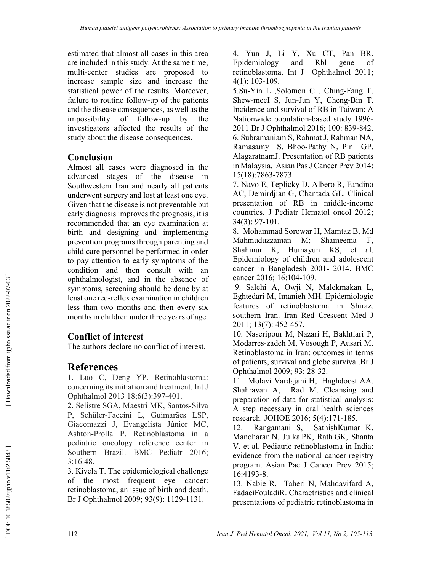estimated that almost all cases in this area are included in this study. At the same time, multi-center studies are proposed to increase sample size and increase the statistical power of the results. Moreover, failure to routine follow-up of the patients and the disease consequences, as well as the impossibility of follow-up by the investigators affected the results of the study about the disease consequences.

### Conclusion

Almost all cases were diagnosed in the advanced stages of the disease in Southwestern Iran and nearly all patients underwent surgery and lost at least one eye. Given that the disease is not preventable but early diagnosis improves the prognosis, it is recommended that an eye examination at birth and designing and implementing prevention programs through parenting and child care personnel be performed in order to pay attention to early symptoms of the condition and then consult with an ophthalmologist, and in the absence of symptoms, screening should be done by at least one red-reflex examination in children less than two months and then every six months in children under three years of age.

## Conflict of interest

The authors declare no conflict of interest.

# **References**

1. Luo C, Deng YP. Retinoblastoma: concerning its initiation and treatment. Int J Ophthalmol 2013 18;6(3):397-401.

2. Selistre SGA, Maestri MK, Santos-Silva P, Schüler-Faccini L, Guimarães LSP, Giacomazzi J, Evangelista Júnior MC, Ashton-Prolla P. Retinoblastoma in a pediatric oncology reference center in Southern Brazil. BMC Pediatr 2016; 3;16:48.

3. Kivela T. The epidemiological challenge of the most frequent eye cancer: retinoblastoma, an issue of birth and death. Br J Ophthalmol 2009; 93(9): 1129-1131.

4. Yun J, Li Y, Xu CT, Pan BR. Epidemiology and Rbl gene of retinoblastoma. Int J Ophthalmol 2011; 4(1): 103-109.

5.Su-Yin L ,Solomon C , Ching-Fang T, Shew-meeI S, Jun-Jun Y, Cheng-Bin T. Incidence and survival of RB in Taiwan: A Nationwide population-based study 1996- 2011.Br J Ophthalmol 2016; 100: 839-842. 6. Subramaniam S, Rahmat J, Rahman NA, Ramasamy S, Bhoo-Pathy N, Pin GP, AlagaratnamJ. Presentation of RB patients in Malaysia. Asian Pas J Cancer Prev 2014; 15(18):7863-7873.

7. Navo E, Teplicky D, Albero R, Fandino AC, Demirdjian G, Chantada GL. Clinical presentation of RB in middle-income countries. J Pediatr Hematol oncol 2012; 34(3): 97-101.

8. Mohammad Sorowar H, Mamtaz B, Md Mahmuduzzaman M; Shameema F, Shahinur K, Humayun KS, et al. Epidemiology of children and adolescent cancer in Bangladesh 2001- 2014. BMC cancer 2016; 16:104-109.

 9. Salehi A, Owji N, Malekmakan L, Eghtedari M, Imanieh MH. Epidemiologic features of retinoblastoma in Shiraz, southern Iran. Iran Red Crescent Med J 2011; 13(7): 452-457.

10. Naseripour M, Nazari H, Bakhtiari P, Modarres-zadeh M, Vosough P, Ausari M. Retinoblastoma in Iran: outcomes in terms of patients, survival and globe survival.Br J Ophthalmol 2009; 93: 28-32.

11. Molavi Vardajani H, Haghdoost AA, Shahravan A, Rad M. Cleansing and preparation of data for statistical analysis: A step necessary in oral health sciences research. JOHOE 2016; 5(4):171-185.

12. Rangamani S, SathishKumar K, Manoharan N, Julka PK, Rath GK, Shanta V, et al. Pediatric retinoblastoma in India: evidence from the national cancer registry program. Asian Pac J Cancer Prev 2015; 16:4193-8.

13. Nabie R, Taheri N, Mahdavifard A, FadaeiFouladiR. Charactristics and clinical presentations of pediatric retinoblastoma in